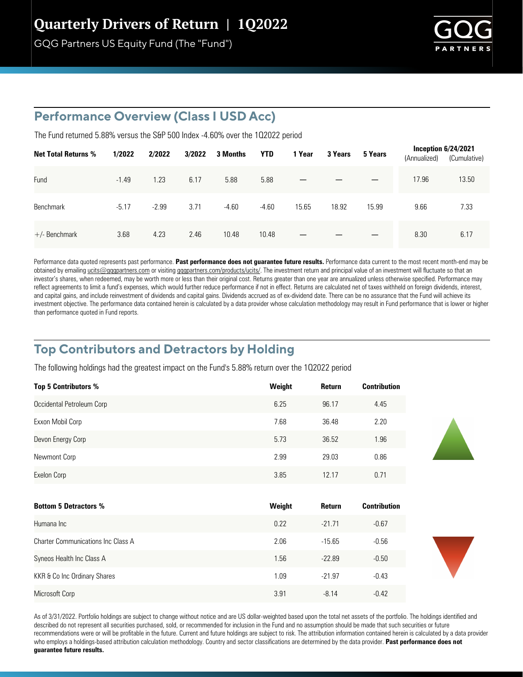GQG Partners US Equity Fund (The "Fund")



#### **Performance Overview (Class I USD Acc)**

The Fund returned 5.88% versus the S&P 500 Index -4.60% over the 102022 period

| <b>Net Total Returns %</b> | 1/2022  | 2/2022  | 3/2022 | 3 Months | <b>YTD</b> | 1 Year | 3 Years | 5 Years | Inception $6/24/2021$<br>(Annualized) | (Cumulative) |
|----------------------------|---------|---------|--------|----------|------------|--------|---------|---------|---------------------------------------|--------------|
| Fund                       | $-1.49$ | 1.23    | 6.17   | 5.88     | 5.88       |        |         |         | 17.96                                 | 13.50        |
| <b>Benchmark</b>           | $-5.17$ | $-2.99$ | 3.71   | $-4.60$  | $-4.60$    | 15.65  | 18.92   | 15.99   | 9.66                                  | 7.33         |
| $+/-$ Benchmark            | 3.68    | 4.23    | 2.46   | 10.48    | 10.48      |        |         |         | 8.30                                  | 6.17         |

Performance data quoted represents past performance. Past performance does not quarantee future results. Performance data current to the most recent month-end may be obtained by emailing ucits@gqgpartners.com or visiting gqgpartners.com/products/ucits/. The investment return and principal value of an investment will fluctuate so that an investor's shares, when redeemed, may be worth more or less than their original cost. Returns greater than one year are annualized unless otherwise specified. Performance may reflect agreements to limit a fund's expenses, which would further reduce performance if not in effect. Returns are calculated net of taxes withheld on foreign dividends, interest, and capital gains, and include reinvestment of dividends and capital gains. Dividends accrued as of ex-dividend date. There can be no assurance that the Fund will achieve its investment objective. The performance data contained herein is calculated by a data provider whose calculation methodology may result in Fund performance that is lower or higher than performance quoted in Fund reports.

### **Top Contributors and Detractors by Holding**

The following holdings had the greatest impact on the Fund's 5.88% return over the 102022 period

| <b>Top 5 Contributors %</b> | Weight | <b>Return</b> | <b>Contribution</b> |
|-----------------------------|--------|---------------|---------------------|
| Occidental Petroleum Corp   | 6.25   | 96.17         | 4.45                |
| Exxon Mobil Corp            | 7.68   | 36.48         | 2.20                |
| Devon Energy Corp           | 5.73   | 36.52         | 1.96                |
| Newmont Corp                | 2.99   | 29.03         | 0.86                |
| Exelon Corp                 | 3.85   | 12.17         | 0.71                |

| <b>Bottom 5 Detractors %</b>              | Weight | Return   | <b>Contribution</b> |
|-------------------------------------------|--------|----------|---------------------|
| Humana Inc                                | 0.22   | $-21.71$ | $-0.67$             |
| <b>Charter Communications Inc Class A</b> | 2.06   | $-15.65$ | $-0.56$             |
| Syneos Health Inc Class A                 | 1.56   | $-22.89$ | $-0.50$             |
| KKR & Co Inc Ordinary Shares              | 1.09   | $-21.97$ | $-0.43$             |
| Microsoft Corp                            | 3.91   | $-8.14$  | $-0.42$             |

As of 3/31/2022. Portfolio holdings are subject to change without notice and are US dollar-weighted based upon the total net assets of the portfolio. The holdings identified and described do not represent all securities purchased, sold, or recommended for inclusion in the Fund and no assumption should be made that such securities or future recommendations were or will be profitable in the future. Current and future holdings are subject to risk. The attribution information contained herein is calculated by a data provider who employs a holdings-based attribution calculation methodology. Country and sector classifications are determined by the data provider. **Past performance does not guarantee future results.**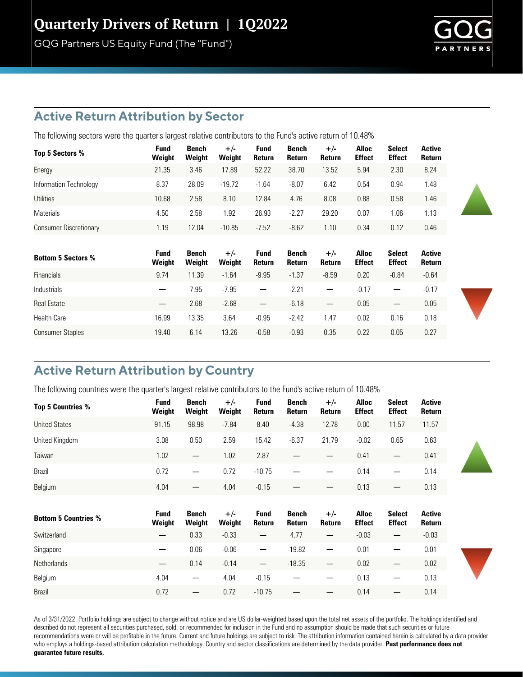GQG Partners US Equity Fund (The "Fund")

#### **Active Return Attribution by Sector**

The following sectors were the quarter's largest relative contributors to the Fund's active return of 10.48%

| Top 5 Sectors %               | Fund<br>Weight | Bench<br>Weight | $+/-$<br>Weight | Fund<br>Return | Bench<br>Return | $+/-$<br>Return  | Alloc<br><b>Effect</b> | <b>Select</b><br><b>Effect</b> | <b>Active</b><br><b>Return</b> |
|-------------------------------|----------------|-----------------|-----------------|----------------|-----------------|------------------|------------------------|--------------------------------|--------------------------------|
| Energy                        | 21.35          | 3.46            | 17.89           | 52.22          | 38.70           | 13.52            | 5.94                   | 2.30                           | 8.24                           |
| Information Technology        | 8.37           | 28.09           | $-19.72$        | $-1.64$        | $-8.07$         | 6.42             | 0.54                   | 0.94                           | .48                            |
| <b>Utilities</b>              | 10.68          | 2.58            | 8.10            | 12.84          | 4.76            | 8.08             | 0.88                   | 0.58                           | .46                            |
| <b>Materials</b>              | 4.50           | 2.58            | 1.92            | 26.93          | $-2.27$         | 29.20            | 0.07                   | 1.06                           | . 13                           |
| <b>Consumer Discretionary</b> | 1.19           | 12.04           | $-10.85$        | $-7.52$        | $-8.62$         | $\overline{.10}$ | 0.34                   | 0.12                           | 0.46                           |

| <b>Bottom 5 Sectors %</b> | <b>Fund</b><br>Weight    | Bench<br>Weight | $+/-$<br>Weight | Fund<br>Return                   | Bench<br>Return | $+/-$<br>Return          | <b>Alloc</b><br><b>Effect</b> | <b>Select</b><br><b>Effect</b> | Active<br><b>Return</b> |
|---------------------------|--------------------------|-----------------|-----------------|----------------------------------|-----------------|--------------------------|-------------------------------|--------------------------------|-------------------------|
| <b>Financials</b>         | 9.74                     | 11.39           | $-1.64$         | $-9.95$                          | $-1.37$         | $-8.59$                  | 0.20                          | $-0.84$                        | $-0.64$                 |
| <b>Industrials</b>        |                          | 7.95            | $-7.95$         | $\overline{\phantom{0}}$         | $-2.21$         | $\overline{\phantom{0}}$ | $-0.17$                       |                                | $-0.17$                 |
| <b>Real Estate</b>        | $\overline{\phantom{0}}$ | 2.68            | $-2.68$         | $\overbrace{\phantom{12322111}}$ | $-6.18$         |                          | 0.05                          |                                | 0.05                    |
| <b>Health Care</b>        | 16.99                    | 13.35           | 3.64            | $-0.95$                          | $-2.42$         | .47                      | 0.02                          | 0.16                           | 0.18                    |
| <b>Consumer Staples</b>   | 19.40                    | 6.14            | 13.26           | $-0.58$                          | $-0.93$         | 0.35                     | 0.22                          | 0.05                           | 0.27                    |

### **Active Return Attribution by Country**

Brazil

The following countries were the quarter's largest relative contributors to the Fund's active return of 10.48%

| <b>Top 5 Countries %</b>    | <b>Fund</b>           | Bench                  | $+/-$           | <b>Fund</b>              | Bench                  | $+/-$           | <b>Alloc</b>                  | <b>Select</b>                  | <b>Active</b>           |
|-----------------------------|-----------------------|------------------------|-----------------|--------------------------|------------------------|-----------------|-------------------------------|--------------------------------|-------------------------|
|                             | Weight                | Weight                 | Weight          | Return                   | Return                 | Return          | <b>Effect</b>                 | <b>Effect</b>                  | Return                  |
| <b>United States</b>        | 91.15                 | 98.98                  | $-7.84$         | 8.40                     | $-4.38$                | 12.78           | 0.00                          | 11.57                          | 11.57                   |
| United Kingdom              | 3.08                  | 0.50                   | 2.59            | 15.42                    | $-6.37$                | 21.79           | $-0.02$                       | 0.65                           | 0.63                    |
| Taiwan                      | 1.02                  | $\qquad \qquad -$      | 1.02            | 2.87                     |                        |                 | 0.41                          | —                              | 0.41                    |
| Brazil                      | 0.72                  | —                      | 0.72            | $-10.75$                 |                        |                 | 0.14                          |                                | 0.14                    |
| Belgium                     | 4.04                  |                        | 4.04            | $-0.15$                  |                        |                 | 0.13                          |                                | 0.13                    |
|                             |                       |                        |                 |                          |                        |                 |                               |                                |                         |
| <b>Bottom 5 Countries %</b> | <b>Fund</b><br>Weight | <b>Bench</b><br>Weight | $+/-$<br>Weight | <b>Fund</b><br>Return    | <b>Bench</b><br>Return | $+/-$<br>Return | <b>Alloc</b><br><b>Effect</b> | <b>Select</b><br><b>Effect</b> | <b>Active</b><br>Return |
| Switzerland                 | —                     | 0.33                   | $-0.33$         | —                        | 4.77                   |                 | $-0.03$                       | $\overline{\phantom{0}}$       | $-0.03$                 |
| Singapore                   | —                     | 0.06                   | $-0.06$         |                          | $-19.82$               | —               | 0.01                          | —                              | 0.01                    |
| <b>Netherlands</b>          |                       | 0.14                   | $-0.14$         | $\overline{\phantom{m}}$ | $-18.35$               | —               | 0.02                          | —                              | 0.02                    |
| Belgium                     | 4.04                  |                        | 4.04            | $-0.15$                  |                        |                 | 0.13                          |                                | 0.13                    |

As of 3/31/2022. Portfolio holdings are subject to change without notice and are US dollar-weighted based upon the total net assets of the portfolio. The holdings identified and described do not represent all securities purchased, sold, or recommended for inclusion in the Fund and no assumption should be made that such securities or future recommendations were or will be profitable in the future. Current and future holdings are subject to risk. The attribution information contained herein is calculated by a data provider who employs a holdings-based attribution calculation methodology. Country and sector classifications are determined by the data provider. **Past performance does not guarantee future results.**

0.72 — 0.72 -10.75 — — 0.14 — 0.14





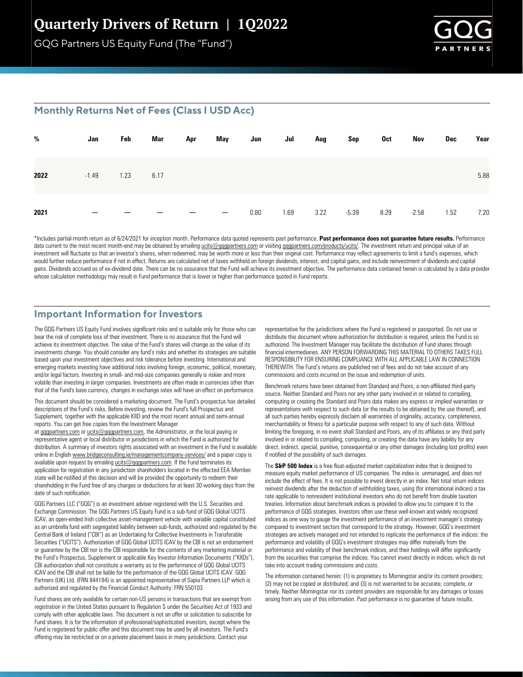GQG Partners US Equity Fund (The "Fund")



#### **Monthly Returns Net of Fees (Class I USD Acc)**

| %    | Jan     | Feb  | Mar  | Apr | May | Jun  | Jul  | Aug  | Sep     | 0ct  | Nov     | Dec  | Year |
|------|---------|------|------|-----|-----|------|------|------|---------|------|---------|------|------|
| 2022 | $-1.49$ | 1.23 | 6.17 |     |     |      |      |      |         |      |         |      | 5.88 |
| 2021 |         |      |      |     |     | 0.80 | 1.69 | 3.22 | $-5.39$ | 8.29 | $-2.58$ | 1.52 | 7.20 |

\*Includes partial-month return as of 6/24/2021 for inception month. Performance data quoted represents past performance. Past performance does not guarantee future results. Performance data current to the most recent month-end may be obtained by emailing ucits@gqgpartners.com or visiting gqgpartners.com/products/ucits/. The investment return and principal value of an investment will fluctuate so that an investor's shares, when redeemed, may be worth more or less than their original cost. Performance may reflect agreements to limit a fund's expenses, which would further reduce performance if not in effect. Returns are calculated net of taxes withheld on foreign dividends, interest, and capital gains, and include reinvestment of dividends and capital gains. Dividends accrued as of ex-dividend date. There can be no assurance that the Fund will achieve its investment objective. The performance data contained herein is calculated by a data provider whose calculation methodology may result in Fund performance that is lower or higher than performance quoted in Fund reports.

#### **Important Information for Investors**

The GQG Partners US Equity Fund involves significant risks and is suitable only for those who can bear the risk of complete loss of their investment. There is no assurance that the Fund will achieve its investment objective. The value of the Fund's shares will change as the value of its investments change. You should consider any fund's risks and whether its strategies are suitable based upon your investment objectives and risk tolerance before investing. International and emerging markets investing have additional risks involving foreign, economic, political, monetary, and/or legal factors. Investing in small- and mid-size companies generally is riskier and more volatile than investing in larger companies. Investments are often made in currencies other than that of the Fund's base currency, changes in exchange rates will have an effect on performance.

This document should be considered a marketing document. The Fund's prospectus has detailed descriptions of the Fund's risks. Before investing, review the Fund's full Prospectus and Supplement, together with the applicable KIID and the most recent annual and semi-annual reports. You can get free copies from the Investment Manager

at gqgpartners.com or ucits@gqgpartners.com, the Administrator, or the local paying or representative agent or local distributor in jurisdictions in which the Fund is authorized for distribution. A summary of investors rights associated with an investment in the Fund is available online in English www.bridgeconsulting.ie/managementcompany-services/ and a paper copy is available upon request by emailing  $ucits@qqqqpartners.com$ . If the Fund terminates its application for registration in any jurisdiction shareholders located in the effected EEA Member state will be notified of this decision and will be provided the opportunity to redeem their shareholding in the Fund free of any charges or deductions for at least 30 working days from the date of such notification.

GQG Partners LLC ("GQG") is an investment adviser registered with the U.S. Securities and Exchange Commission. The GQG Partners US Equity Fund is a sub-fund of GQG Global UCITS ICAV, an open-ended Irish collective asset-management vehicle with variable capital constituted as an umbrella fund with segregated liability between sub-funds, authorized and regulated by the Central Bank of Ireland ("CBI") as an Undertaking for Collective Investments in Transferable Securities ("UCITS"). Authorization of GQG Global UCITS ICAV by the CBI is not an endorsement or guarantee by the CBI nor is the CBI responsible for the contents of any marketing material or the Fund's Prospectus, Supplement or applicable Key Investor Information Documents ("KIIDs"). CBI authorization shall not constitute a warranty as to the performance of GQG Global UCITS ICAV and the CBI shall not be liable for the performance of the GQG Global UCITS ICAV. GQG Partners (UK) Ltd. (FRN 844184) is an appointed representative of Sapia Partners LLP which is authorized and regulated by the Financial Conduct Authority: FRN 550103.

Fund shares are only available for certain non-US persons in transactions that are exempt from registration in the United States pursuant to Regulation S under the Securities Act of 1933 and comply with other applicable laws. This document is not an offer or solicitation to subscribe for Fund shares. It is for the information of professional/sophisticated investors, except where the Fund is registered for public offer and this document may be used by all investors. The Fund's offering may be restricted or on a private placement basis in many jurisdictions. Contact your

representative for the jurisdictions where the Fund is registered or passported. Do not use or distribute this document where authorization for distribution is required, unless the Fund is so authorized. The Investment Manager may facilitate the distribution of Fund shares through financial intermediaries. ANY PERSON FORWARDING THIS MATERIAL TO OTHERS TAKES FULL RESPONSIBILITY FOR ENSURING COMPLIANCE WITH ALL APPLICABLE LAW IN CONNECTION THEREWITH. The Fund's returns are published net of fees and do not take account of any commissions and costs incurred on the issue and redemption of units.

Benchmark returns have been obtained from Standard and Poors, a non-affiliated third-party source. Neither Standard and Poors nor any other party involved in or related to compiling, computing or creating the Standard and Poors data makes any express or implied warranties or representations with respect to such data (or the results to be obtained by the use thereof), and all such parties hereby expressly disclaim all warranties of originality, accuracy, completeness, merchantability or fitness for a particular purpose with respect to any of such data. Without limiting the foregoing, in no event shall Standard and Poors, any of its affiliates or any third party involved in or related to compiling, computing, or creating the data have any liability for any direct, indirect, special, punitive, consequential or any other damages (including lost profits) even if notified of the possibility of such damages.

The S&P 500 Index is a free float-adjusted market capitalization index that is designed to measure equity market performance of US companies. The index is unmanaged, and does not include the effect of fees. It is not possible to invest directly in an index. Net total return indices reinvest dividends after the deduction of withholding taxes, using (for international indices) a tax rate applicable to nonresident institutional investors who do not benefit from double taxation treaties. Information about benchmark indices is provided to allow you to compare it to the performance of GQG strategies. Investors often use these well-known and widely recognized indices as one way to gauge the investment performance of an investment manager's strategy compared to investment sectors that correspond to the strategy. However, GQG's investment strategies are actively managed and not intended to replicate the performance of the indices: the performance and volatility of GQG's investment strategies may differ materially from the performance and volatility of their benchmark indices, and their holdings will differ significantly from the securities that comprise the indices. You cannot invest directly in indices, which do not take into account trading commissions and costs.

The information contained herein: (1) is proprietary to Morningstar and/or its content providers; (2) may not be copied or distributed; and (3) is not warranted to be accurate, complete, or timely. Neither Morningstar nor its content providers are responsible for any damages or losses arising from any use of this information. Past performance is no guarantee of future results.